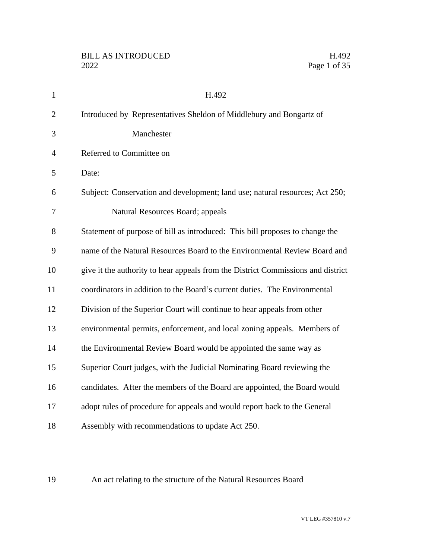| $\mathbf{1}$   | H.492                                                                            |
|----------------|----------------------------------------------------------------------------------|
| $\overline{2}$ | Introduced by Representatives Sheldon of Middlebury and Bongartz of              |
| 3              | Manchester                                                                       |
| $\overline{4}$ | Referred to Committee on                                                         |
| 5              | Date:                                                                            |
| 6              | Subject: Conservation and development; land use; natural resources; Act 250;     |
| 7              | Natural Resources Board; appeals                                                 |
| 8              | Statement of purpose of bill as introduced: This bill proposes to change the     |
| 9              | name of the Natural Resources Board to the Environmental Review Board and        |
| 10             | give it the authority to hear appeals from the District Commissions and district |
| 11             | coordinators in addition to the Board's current duties. The Environmental        |
| 12             | Division of the Superior Court will continue to hear appeals from other          |
| 13             | environmental permits, enforcement, and local zoning appeals. Members of         |
| 14             | the Environmental Review Board would be appointed the same way as                |
| 15             | Superior Court judges, with the Judicial Nominating Board reviewing the          |
| 16             | candidates. After the members of the Board are appointed, the Board would        |
| 17             | adopt rules of procedure for appeals and would report back to the General        |
| 18             | Assembly with recommendations to update Act 250.                                 |

An act relating to the structure of the Natural Resources Board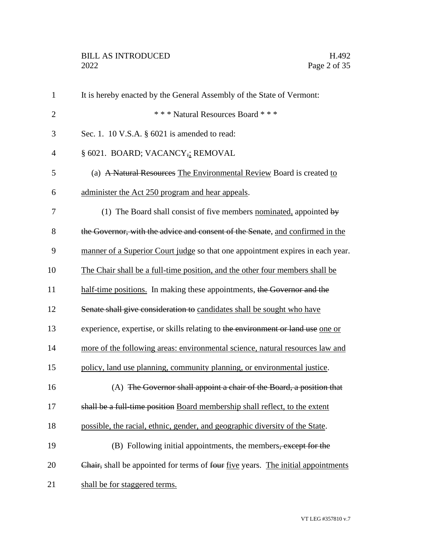| $\mathbf{1}$   | It is hereby enacted by the General Assembly of the State of Vermont:            |
|----------------|----------------------------------------------------------------------------------|
| $\overline{2}$ | *** Natural Resources Board ***                                                  |
| 3              | Sec. 1. 10 V.S.A. § 6021 is amended to read:                                     |
| 4              | § 6021. BOARD; VACANCY,; REMOVAL                                                 |
| 5              | (a) A Natural Resources The Environmental Review Board is created to             |
| 6              | administer the Act 250 program and hear appeals.                                 |
| 7              | (1) The Board shall consist of five members nominated, appointed by              |
| 8              | the Governor, with the advice and consent of the Senate, and confirmed in the    |
| 9              | manner of a Superior Court judge so that one appointment expires in each year.   |
| 10             | The Chair shall be a full-time position, and the other four members shall be     |
| 11             | half-time positions. In making these appointments, the Governor and the          |
| 12             | Senate shall give consideration to candidates shall be sought who have           |
| 13             | experience, expertise, or skills relating to the environment or land use one or  |
| 14             | more of the following areas: environmental science, natural resources law and    |
| 15             | policy, land use planning, community planning, or environmental justice.         |
| 16             | (A) The Governor shall appoint a chair of the Board, a position that             |
| 17             | shall be a full-time position Board membership shall reflect, to the extent      |
| 18             | possible, the racial, ethnic, gender, and geographic diversity of the State.     |
| 19             | (B) Following initial appointments, the members, except for the                  |
| 20             | Chair, shall be appointed for terms of four five years. The initial appointments |
| 21             | shall be for staggered terms.                                                    |
|                |                                                                                  |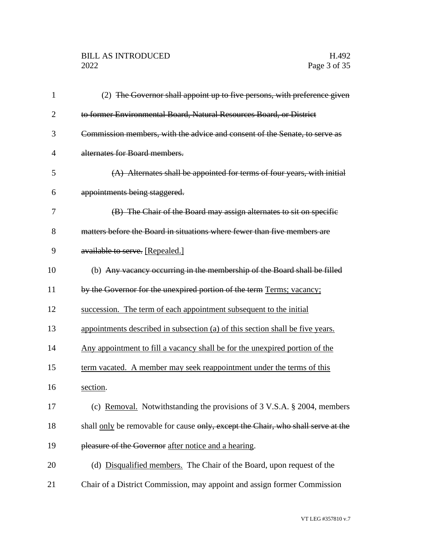# BILL AS INTRODUCED H.492<br>2022 Page 3 of 35

| 1              | (2) The Governor shall appoint up to five persons, with preference given         |
|----------------|----------------------------------------------------------------------------------|
| $\overline{2}$ | to former Environmental Board, Natural Resources Board, or District              |
| 3              | Commission members, with the advice and consent of the Senate, to serve as       |
| $\overline{4}$ | alternates for Board members.                                                    |
| 5              | (A) Alternates shall be appointed for terms of four years, with initial          |
| 6              | appointments being staggered.                                                    |
| 7              | (B) The Chair of the Board may assign alternates to sit on specific              |
| 8              | matters before the Board in situations where fewer than five members are         |
| 9              | available to serve. [Repealed.]                                                  |
| 10             | (b) Any vacancy occurring in the membership of the Board shall be filled         |
| 11             | by the Governor for the unexpired portion of the term Terms; vacancy;            |
| 12             | succession. The term of each appointment subsequent to the initial               |
| 13             | appointments described in subsection (a) of this section shall be five years.    |
| 14             | Any appointment to fill a vacancy shall be for the unexpired portion of the      |
| 15             | term vacated. A member may seek reappointment under the terms of this            |
| 16             | section.                                                                         |
| 17             | (c) Removal. Notwithstanding the provisions of 3 V.S.A. § 2004, members          |
| 18             | shall only be removable for cause only, except the Chair, who shall serve at the |
| 19             | pleasure of the Governor after notice and a hearing.                             |
| 20             | (d) Disqualified members. The Chair of the Board, upon request of the            |
| 21             | Chair of a District Commission, may appoint and assign former Commission         |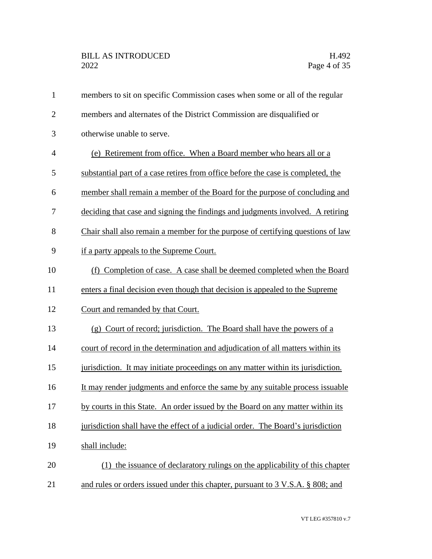| $\mathbf{1}$   | members to sit on specific Commission cases when some or all of the regular      |
|----------------|----------------------------------------------------------------------------------|
| $\overline{2}$ | members and alternates of the District Commission are disqualified or            |
| 3              | otherwise unable to serve.                                                       |
| $\overline{4}$ | (e) Retirement from office. When a Board member who hears all or a               |
| 5              | substantial part of a case retires from office before the case is completed, the |
| 6              | member shall remain a member of the Board for the purpose of concluding and      |
| 7              | deciding that case and signing the findings and judgments involved. A retiring   |
| 8              | Chair shall also remain a member for the purpose of certifying questions of law  |
| 9              | if a party appeals to the Supreme Court.                                         |
| 10             | (f) Completion of case. A case shall be deemed completed when the Board          |
| 11             | enters a final decision even though that decision is appealed to the Supreme     |
| 12             | Court and remanded by that Court.                                                |
| 13             | (g) Court of record; jurisdiction. The Board shall have the powers of a          |
| 14             | court of record in the determination and adjudication of all matters within its  |
| 15             | jurisdiction. It may initiate proceedings on any matter within its jurisdiction. |
| 16             | It may render judgments and enforce the same by any suitable process issuable    |
| 17             | by courts in this State. An order issued by the Board on any matter within its   |
| 18             | jurisdiction shall have the effect of a judicial order. The Board's jurisdiction |
| 19             | shall include:                                                                   |
| 20             | (1) the issuance of declaratory rulings on the applicability of this chapter     |
| 21             | and rules or orders issued under this chapter, pursuant to 3 V.S.A. § 808; and   |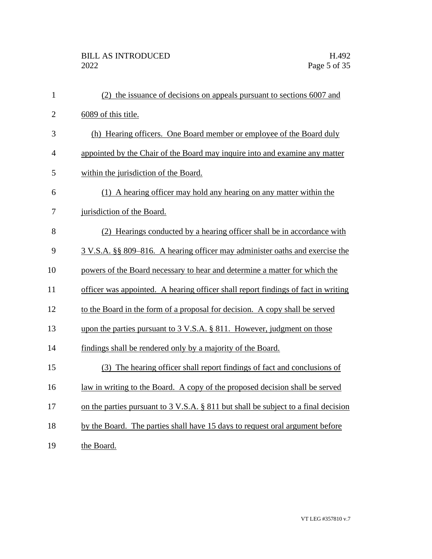| $\mathbf{1}$   | (2) the issuance of decisions on appeals pursuant to sections 6007 and              |
|----------------|-------------------------------------------------------------------------------------|
| $\overline{2}$ | 6089 of this title.                                                                 |
| 3              | (h) Hearing officers. One Board member or employee of the Board duly                |
| $\overline{4}$ | appointed by the Chair of the Board may inquire into and examine any matter         |
| 5              | within the jurisdiction of the Board.                                               |
| 6              | (1) A hearing officer may hold any hearing on any matter within the                 |
| 7              | jurisdiction of the Board.                                                          |
| 8              | (2) Hearings conducted by a hearing officer shall be in accordance with             |
| 9              | 3 V.S.A. §§ 809–816. A hearing officer may administer oaths and exercise the        |
| 10             | powers of the Board necessary to hear and determine a matter for which the          |
| 11             | officer was appointed. A hearing officer shall report findings of fact in writing   |
| 12             | to the Board in the form of a proposal for decision. A copy shall be served         |
| 13             | upon the parties pursuant to $3 \text{ V.S.A.}$ § 811. However, judgment on those   |
| 14             | findings shall be rendered only by a majority of the Board.                         |
| 15             | (3) The hearing officer shall report findings of fact and conclusions of            |
| 16             | <u>law in writing to the Board. A copy of the proposed decision shall be served</u> |
| 17             | on the parties pursuant to 3 V.S.A. § 811 but shall be subject to a final decision  |
| 18             | by the Board. The parties shall have 15 days to request oral argument before        |
| 19             | the Board.                                                                          |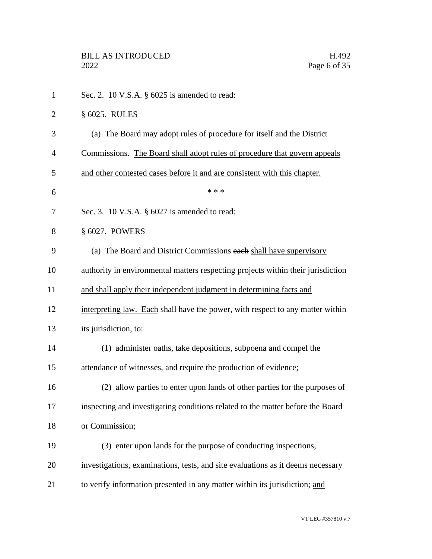Sec. 2. 10 V.S.A. § 6025 is amended to read: § 6025. RULES (a) The Board may adopt rules of procedure for itself and the District Commissions. The Board shall adopt rules of procedure that govern appeals and other contested cases before it and are consistent with this chapter.  $***$ 7 Sec. 3. 10 V.S.A. § 6027 is amended to read: § 6027. POWERS (a) The Board and District Commissions each shall have supervisory authority in environmental matters respecting projects within their jurisdiction and shall apply their independent judgment in determining facts and interpreting law. Each shall have the power, with respect to any matter within its jurisdiction, to: (1) administer oaths, take depositions, subpoena and compel the attendance of witnesses, and require the production of evidence; (2) allow parties to enter upon lands of other parties for the purposes of inspecting and investigating conditions related to the matter before the Board or Commission; (3) enter upon lands for the purpose of conducting inspections, investigations, examinations, tests, and site evaluations as it deems necessary 21 to verify information presented in any matter within its jurisdiction; and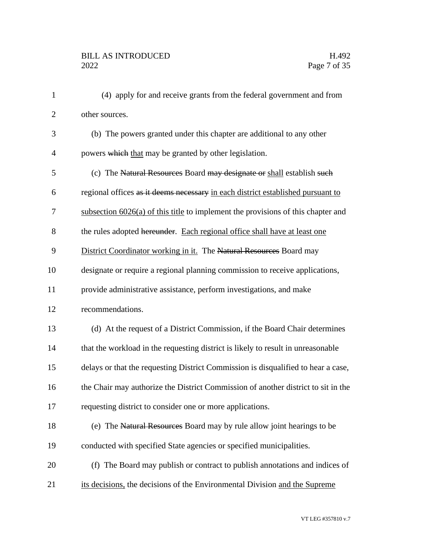(4) apply for and receive grants from the federal government and from other sources. (b) The powers granted under this chapter are additional to any other 4 powers which that may be granted by other legislation. (c) The Natural Resources Board may designate or shall establish such regional offices as it deems necessary in each district established pursuant to subsection 6026(a) of this title to implement the provisions of this chapter and 8 the rules adopted hereunder. Each regional office shall have at least one 9 District Coordinator working in it. The Natural Resources Board may designate or require a regional planning commission to receive applications, provide administrative assistance, perform investigations, and make recommendations. (d) At the request of a District Commission, if the Board Chair determines that the workload in the requesting district is likely to result in unreasonable delays or that the requesting District Commission is disqualified to hear a case, the Chair may authorize the District Commission of another district to sit in the requesting district to consider one or more applications. 18 (e) The Natural Resources Board may by rule allow joint hearings to be conducted with specified State agencies or specified municipalities. (f) The Board may publish or contract to publish annotations and indices of 21 its decisions, the decisions of the Environmental Division and the Supreme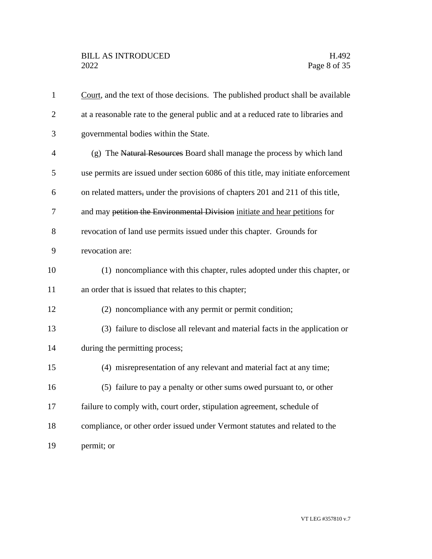| $\mathbf{1}$   | Court, and the text of those decisions. The published product shall be available  |
|----------------|-----------------------------------------------------------------------------------|
| $\overline{2}$ | at a reasonable rate to the general public and at a reduced rate to libraries and |
| 3              | governmental bodies within the State.                                             |
| $\overline{4}$ | (g) The Natural Resources Board shall manage the process by which land            |
| 5              | use permits are issued under section 6086 of this title, may initiate enforcement |
| 6              | on related matters, under the provisions of chapters 201 and 211 of this title,   |
| 7              | and may petition the Environmental Division initiate and hear petitions for       |
| 8              | revocation of land use permits issued under this chapter. Grounds for             |
| 9              | revocation are:                                                                   |
| 10             | (1) noncompliance with this chapter, rules adopted under this chapter, or         |
| 11             | an order that is issued that relates to this chapter;                             |
| 12             | (2) noncompliance with any permit or permit condition;                            |
| 13             | (3) failure to disclose all relevant and material facts in the application or     |
| 14             | during the permitting process;                                                    |
| 15             | (4) misrepresentation of any relevant and material fact at any time;              |
| 16             | (5) failure to pay a penalty or other sums owed pursuant to, or other             |
| 17             | failure to comply with, court order, stipulation agreement, schedule of           |
| 18             | compliance, or other order issued under Vermont statutes and related to the       |
| 19             | permit; or                                                                        |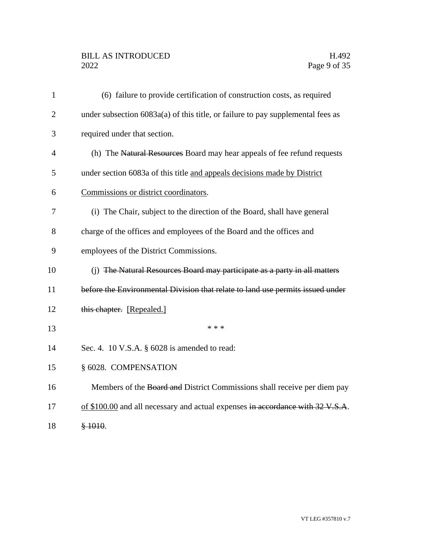# BILL AS INTRODUCED H.492<br>2022 Page 9 of 35

| $\mathbf{1}$   | (6) failure to provide certification of construction costs, as required           |
|----------------|-----------------------------------------------------------------------------------|
| $\overline{2}$ | under subsection $6083a(a)$ of this title, or failure to pay supplemental fees as |
| 3              | required under that section.                                                      |
| 4              | (h) The Natural Resources Board may hear appeals of fee refund requests           |
| 5              | under section 6083a of this title and appeals decisions made by District          |
| 6              | Commissions or district coordinators.                                             |
| 7              | (i) The Chair, subject to the direction of the Board, shall have general          |
| 8              | charge of the offices and employees of the Board and the offices and              |
| 9              | employees of the District Commissions.                                            |
| 10             | (j) The Natural Resources Board may participate as a party in all matters         |
| 11             | before the Environmental Division that relate to land use permits issued under    |
| 12             | this chapter. [Repealed.]                                                         |
| 13             | * * *                                                                             |
| 14             | Sec. 4. 10 V.S.A. $\S$ 6028 is amended to read:                                   |
| 15             | § 6028. COMPENSATION                                                              |
| 16             | Members of the Board and District Commissions shall receive per diem pay          |
| 17             | of \$100.00 and all necessary and actual expenses in accordance with 32 V.S.A.    |
| 18             | \$1010.                                                                           |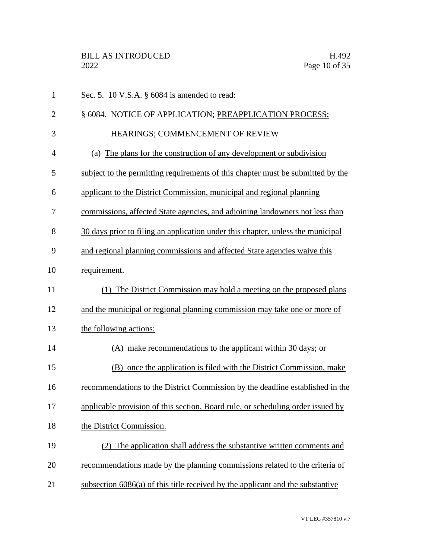| $\mathbf{1}$   | Sec. 5. 10 V.S.A. $\S$ 6084 is amended to read:                                 |
|----------------|---------------------------------------------------------------------------------|
| $\overline{2}$ | § 6084. NOTICE OF APPLICATION; PREAPPLICATION PROCESS;                          |
| 3              | HEARINGS; COMMENCEMENT OF REVIEW                                                |
| $\overline{4}$ | (a) The plans for the construction of any development or subdivision            |
| 5              | subject to the permitting requirements of this chapter must be submitted by the |
| 6              | applicant to the District Commission, municipal and regional planning           |
| 7              | commissions, affected State agencies, and adjoining landowners not less than    |
| 8              | 30 days prior to filing an application under this chapter, unless the municipal |
| 9              | and regional planning commissions and affected State agencies waive this        |
| 10             | requirement.                                                                    |
| 11             | (1) The District Commission may hold a meeting on the proposed plans            |
| 12             | and the municipal or regional planning commission may take one or more of       |
| 13             | the following actions:                                                          |
| 14             | (A) make recommendations to the applicant within 30 days; or                    |
| 15             | (B) once the application is filed with the District Commission, make            |
| 16             | recommendations to the District Commission by the deadline established in the   |
| 17             | applicable provision of this section, Board rule, or scheduling order issued by |
| 18             | the District Commission.                                                        |
| 19             | The application shall address the substantive written comments and<br>(2)       |
| 20             | recommendations made by the planning commissions related to the criteria of     |
| 21             | subsection 6086(a) of this title received by the applicant and the substantive  |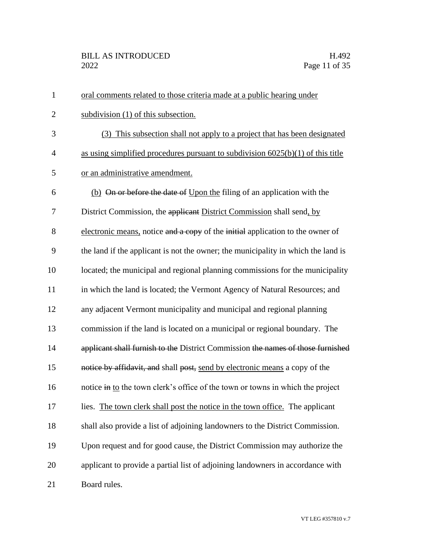| $\mathbf{1}$   | oral comments related to those criteria made at a public hearing under            |
|----------------|-----------------------------------------------------------------------------------|
| $\overline{2}$ | subdivision (1) of this subsection.                                               |
| 3              | (3) This subsection shall not apply to a project that has been designated         |
| $\overline{4}$ | as using simplified procedures pursuant to subdivision $6025(b)(1)$ of this title |
| 5              | or an administrative amendment.                                                   |
| 6              | (b) On or before the date of Upon the filing of an application with the           |
| 7              | District Commission, the applicant District Commission shall send, by             |
| 8              | electronic means, notice and a copy of the initial application to the owner of    |
| 9              | the land if the applicant is not the owner; the municipality in which the land is |
| 10             | located; the municipal and regional planning commissions for the municipality     |
| 11             | in which the land is located; the Vermont Agency of Natural Resources; and        |
| 12             | any adjacent Vermont municipality and municipal and regional planning             |
| 13             | commission if the land is located on a municipal or regional boundary. The        |
| 14             | applicant shall furnish to the District Commission the names of those furnished   |
| 15             | notice by affidavit, and shall post, send by electronic means a copy of the       |
| 16             | notice in to the town clerk's office of the town or towns in which the project    |
| 17             | lies. The town clerk shall post the notice in the town office. The applicant      |
| 18             | shall also provide a list of adjoining landowners to the District Commission.     |
| 19             | Upon request and for good cause, the District Commission may authorize the        |
| 20             | applicant to provide a partial list of adjoining landowners in accordance with    |
| 21             | Board rules.                                                                      |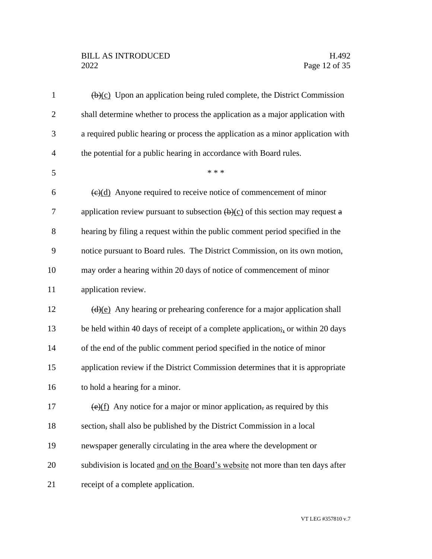# BILL AS INTRODUCED H.492<br>2022 Page 12 of 35

| $\mathbf{1}$   | $\overline{(b)(c)}$ Upon an application being ruled complete, the District Commission                                            |
|----------------|----------------------------------------------------------------------------------------------------------------------------------|
| $\overline{2}$ | shall determine whether to process the application as a major application with                                                   |
| 3              | a required public hearing or process the application as a minor application with                                                 |
| $\overline{4}$ | the potential for a public hearing in accordance with Board rules.                                                               |
| 5              | * * *                                                                                                                            |
| 6              | $\left(\frac{e}{d}\right)$ Anyone required to receive notice of commencement of minor                                            |
| 7              | application review pursuant to subsection $\left(\frac{b}{c}\right)$ of this section may request a                               |
| 8              | hearing by filing a request within the public comment period specified in the                                                    |
| 9              | notice pursuant to Board rules. The District Commission, on its own motion,                                                      |
| 10             | may order a hearing within 20 days of notice of commencement of minor                                                            |
| 11             | application review.                                                                                                              |
| 12             | $\frac{d}{e}$ Any hearing or prehearing conference for a major application shall                                                 |
| 13             | be held within 40 days of receipt of a complete application; or within 20 days                                                   |
| 14             | of the end of the public comment period specified in the notice of minor                                                         |
| 15             | application review if the District Commission determines that it is appropriate                                                  |
| 16             | to hold a hearing for a minor.                                                                                                   |
| 17             | $\frac{\left(\mathbf{e}\right)(f)}{\left(\mathbf{e}\right)(f)}$ Any notice for a major or minor application, as required by this |
| 18             | section, shall also be published by the District Commission in a local                                                           |
| 19             | newspaper generally circulating in the area where the development or                                                             |
| 20             | subdivision is located and on the Board's website not more than ten days after                                                   |
| 21             | receipt of a complete application.                                                                                               |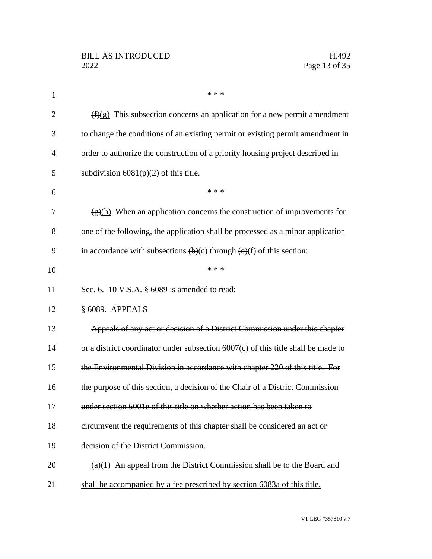| $\mathbf{1}$   | * * *                                                                                                         |
|----------------|---------------------------------------------------------------------------------------------------------------|
| $\overline{2}$ | $(f)(g)$ This subsection concerns an application for a new permit amendment                                   |
| 3              | to change the conditions of an existing permit or existing permit amendment in                                |
| 4              | order to authorize the construction of a priority housing project described in                                |
| 5              | subdivision $6081(p)(2)$ of this title.                                                                       |
| 6              | * * *                                                                                                         |
| 7              | $\frac{f(x)(h)}{h(x)}$ When an application concerns the construction of improvements for                      |
| 8              | one of the following, the application shall be processed as a minor application                               |
| 9              | in accordance with subsections $\left(\frac{b}{c}\right)$ through $\left(\frac{e}{f}\right)$ of this section: |
| 10             | * * *                                                                                                         |
| 11             | Sec. 6. 10 V.S.A. § 6089 is amended to read:                                                                  |
| 12             | § 6089. APPEALS                                                                                               |
| 13             | Appeals of any act or decision of a District Commission under this chapter                                    |
| 14             | or a district coordinator under subsection $6007(c)$ of this title shall be made to                           |
| 15             | the Environmental Division in accordance with chapter 220 of this title. For                                  |
| 16             | the purpose of this section, a decision of the Chair of a District Commission                                 |
| 17             | under section 6001e of this title on whether action has been taken to                                         |
| 18             | circumvent the requirements of this chapter shall be considered an act or                                     |
| 19             | decision of the District Commission.                                                                          |
| 20             | (a)(1) An appeal from the District Commission shall be to the Board and                                       |
| 21             | shall be accompanied by a fee prescribed by section 6083a of this title.                                      |
|                |                                                                                                               |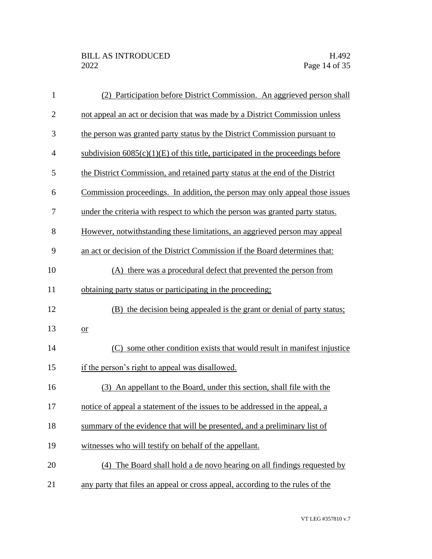| $\mathbf{1}$   | (2) Participation before District Commission. An aggrieved person shall           |
|----------------|-----------------------------------------------------------------------------------|
| $\overline{2}$ | not appeal an act or decision that was made by a District Commission unless       |
| 3              | the person was granted party status by the District Commission pursuant to        |
| $\overline{4}$ | subdivision $6085(c)(1)(E)$ of this title, participated in the proceedings before |
| 5              | the District Commission, and retained party status at the end of the District     |
| 6              | Commission proceedings. In addition, the person may only appeal those issues      |
| 7              | under the criteria with respect to which the person was granted party status.     |
| 8              | However, notwithstanding these limitations, an aggrieved person may appeal        |
| 9              | an act or decision of the District Commission if the Board determines that:       |
| 10             | (A) there was a procedural defect that prevented the person from                  |
| 11             | obtaining party status or participating in the proceeding;                        |
| 12             | (B) the decision being appealed is the grant or denial of party status;           |
| 13             | $or$                                                                              |
| 14             | some other condition exists that would result in manifest injustice<br>(C)        |
| 15             | if the person's right to appeal was disallowed.                                   |
| 16             | (3) An appellant to the Board, under this section, shall file with the            |
| 17             | notice of appeal a statement of the issues to be addressed in the appeal, a       |
| 18             | summary of the evidence that will be presented, and a preliminary list of         |
| 19             | witnesses who will testify on behalf of the appellant.                            |
| 20             | (4) The Board shall hold a de novo hearing on all findings requested by           |
| 21             | any party that files an appeal or cross appeal, according to the rules of the     |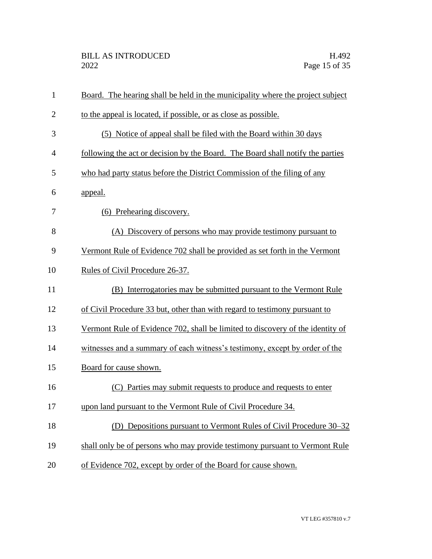| 1              | Board. The hearing shall be held in the municipality where the project subject |
|----------------|--------------------------------------------------------------------------------|
| $\overline{2}$ | to the appeal is located, if possible, or as close as possible.                |
| 3              | (5) Notice of appeal shall be filed with the Board within 30 days              |
| $\overline{4}$ | following the act or decision by the Board. The Board shall notify the parties |
| 5              | who had party status before the District Commission of the filing of any       |
| 6              | appeal.                                                                        |
| 7              | (6) Prehearing discovery.                                                      |
| 8              | (A) Discovery of persons who may provide testimony pursuant to                 |
| 9              | Vermont Rule of Evidence 702 shall be provided as set forth in the Vermont     |
| 10             | Rules of Civil Procedure 26-37.                                                |
| 11             | (B) Interrogatories may be submitted pursuant to the Vermont Rule              |
| 12             | of Civil Procedure 33 but, other than with regard to testimony pursuant to     |
| 13             | Vermont Rule of Evidence 702, shall be limited to discovery of the identity of |
| 14             | witnesses and a summary of each witness's testimony, except by order of the    |
| 15             | Board for cause shown.                                                         |
| 16             | (C) Parties may submit requests to produce and requests to enter               |
| 17             | upon land pursuant to the Vermont Rule of Civil Procedure 34.                  |
| 18             | (D) Depositions pursuant to Vermont Rules of Civil Procedure 30–32             |
| 19             | shall only be of persons who may provide testimony pursuant to Vermont Rule    |
| 20             | of Evidence 702, except by order of the Board for cause shown.                 |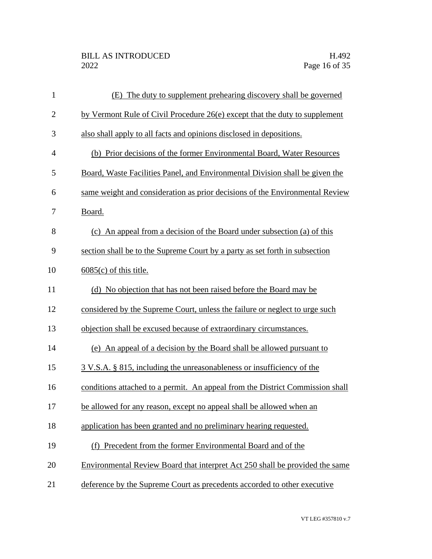| $\mathbf{1}$   | (E) The duty to supplement prehearing discovery shall be governed             |
|----------------|-------------------------------------------------------------------------------|
| $\mathbf{2}$   | by Vermont Rule of Civil Procedure 26(e) except that the duty to supplement   |
| 3              | also shall apply to all facts and opinions disclosed in depositions.          |
| $\overline{4}$ | (b) Prior decisions of the former Environmental Board, Water Resources        |
| 5              | Board, Waste Facilities Panel, and Environmental Division shall be given the  |
| 6              | same weight and consideration as prior decisions of the Environmental Review  |
| 7              | Board.                                                                        |
| 8              | (c) An appeal from a decision of the Board under subsection (a) of this       |
| 9              | section shall be to the Supreme Court by a party as set forth in subsection   |
| 10             | $6085(c)$ of this title.                                                      |
| 11             | (d) No objection that has not been raised before the Board may be             |
| 12             | considered by the Supreme Court, unless the failure or neglect to urge such   |
| 13             | objection shall be excused because of extraordinary circumstances.            |
| 14             | (e) An appeal of a decision by the Board shall be allowed pursuant to         |
| 15             | 3 V.S.A. § 815, including the unreasonableness or insufficiency of the        |
| 16             | conditions attached to a permit. An appeal from the District Commission shall |
| 17             | be allowed for any reason, except no appeal shall be allowed when an          |
| 18             | application has been granted and no preliminary hearing requested.            |
| 19             | (f) Precedent from the former Environmental Board and of the                  |
| 20             | Environmental Review Board that interpret Act 250 shall be provided the same  |
| 21             | deference by the Supreme Court as precedents accorded to other executive      |
|                |                                                                               |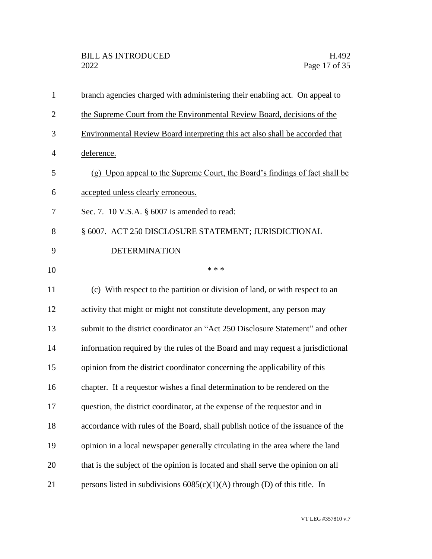| $\mathbf{1}$   | branch agencies charged with administering their enabling act. On appeal to      |
|----------------|----------------------------------------------------------------------------------|
| $\overline{2}$ | the Supreme Court from the Environmental Review Board, decisions of the          |
| 3              | Environmental Review Board interpreting this act also shall be accorded that     |
| 4              | deference.                                                                       |
| 5              | (g) Upon appeal to the Supreme Court, the Board's findings of fact shall be      |
| 6              | accepted unless clearly erroneous.                                               |
| 7              | Sec. 7. 10 V.S.A. § 6007 is amended to read:                                     |
| 8              | § 6007. ACT 250 DISCLOSURE STATEMENT; JURISDICTIONAL                             |
| 9              | <b>DETERMINATION</b>                                                             |
| 10             | * * *                                                                            |
| 11             | (c) With respect to the partition or division of land, or with respect to an     |
| 12             | activity that might or might not constitute development, any person may          |
| 13             | submit to the district coordinator an "Act 250 Disclosure Statement" and other   |
| 14             | information required by the rules of the Board and may request a jurisdictional  |
| 15             | opinion from the district coordinator concerning the applicability of this       |
| 16             | chapter. If a requestor wishes a final determination to be rendered on the       |
| 17             | question, the district coordinator, at the expense of the requestor and in       |
| 18             | accordance with rules of the Board, shall publish notice of the issuance of the  |
| 19             | opinion in a local newspaper generally circulating in the area where the land    |
| 20             | that is the subject of the opinion is located and shall serve the opinion on all |
| 21             | persons listed in subdivisions $6085(c)(1)(A)$ through (D) of this title. In     |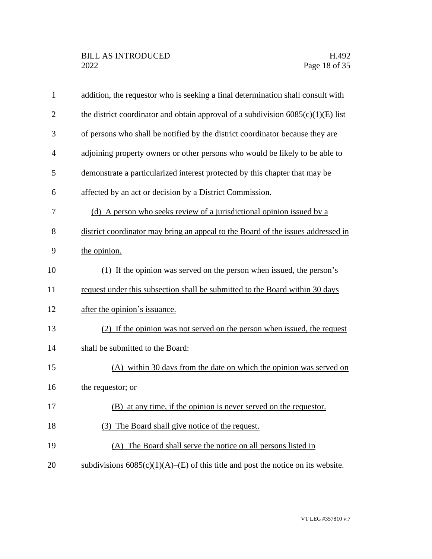| $\mathbf{1}$   | addition, the requestor who is seeking a final determination shall consult with     |
|----------------|-------------------------------------------------------------------------------------|
| $\overline{2}$ | the district coordinator and obtain approval of a subdivision $6085(c)(1)(E)$ list  |
| 3              | of persons who shall be notified by the district coordinator because they are       |
| $\overline{4}$ | adjoining property owners or other persons who would be likely to be able to        |
| 5              | demonstrate a particularized interest protected by this chapter that may be         |
| 6              | affected by an act or decision by a District Commission.                            |
| 7              | (d) A person who seeks review of a jurisdictional opinion issued by a               |
| 8              | district coordinator may bring an appeal to the Board of the issues addressed in    |
| 9              | the opinion.                                                                        |
| 10             | (1) If the opinion was served on the person when issued, the person's               |
| 11             | request under this subsection shall be submitted to the Board within 30 days        |
| 12             | after the opinion's issuance.                                                       |
| 13             | (2) If the opinion was not served on the person when issued, the request            |
| 14             | shall be submitted to the Board:                                                    |
| 15             | (A) within 30 days from the date on which the opinion was served on                 |
| 16             | the requestor; or                                                                   |
| 17             | (B) at any time, if the opinion is never served on the requestor.                   |
| 18             | The Board shall give notice of the request.<br>(3)                                  |
| 19             | (A) The Board shall serve the notice on all persons listed in                       |
| 20             | subdivisions $6085(c)(1)(A)$ –(E) of this title and post the notice on its website. |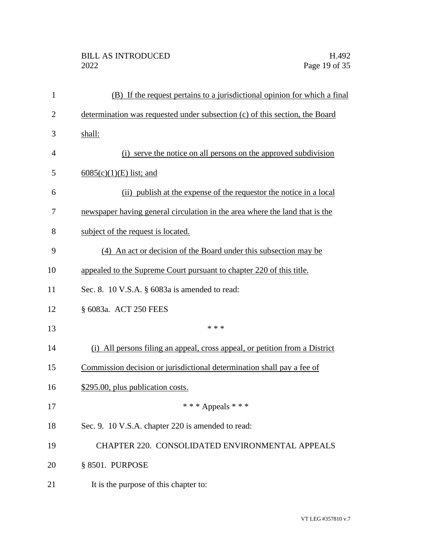| $\mathbf{1}$   | (B) If the request pertains to a jurisdictional opinion for which a final   |
|----------------|-----------------------------------------------------------------------------|
| $\overline{2}$ | determination was requested under subsection (c) of this section, the Board |
| 3              | shall:                                                                      |
| 4              | (i) serve the notice on all persons on the approved subdivision             |
| 5              | $6085(c)(1)(E)$ list; and                                                   |
| 6              | (ii) publish at the expense of the requestor the notice in a local          |
| 7              | newspaper having general circulation in the area where the land that is the |
| 8              | subject of the request is located.                                          |
| 9              | (4) An act or decision of the Board under this subsection may be            |
| 10             | appealed to the Supreme Court pursuant to chapter 220 of this title.        |
| 11             | Sec. 8. 10 V.S.A. § 6083a is amended to read:                               |
| 12             | § 6083a. ACT 250 FEES                                                       |
| 13             | * * *                                                                       |
| 14             | (i) All persons filing an appeal, cross appeal, or petition from a District |
| 15             | Commission decision or jurisdictional determination shall pay a fee of      |
| 16             | \$295.00, plus publication costs.                                           |
| 17             | *** Appeals ***                                                             |
| 18             | Sec. 9. 10 V.S.A. chapter 220 is amended to read:                           |
| 19             | CHAPTER 220. CONSOLIDATED ENVIRONMENTAL APPEALS                             |
| 20             | § 8501. PURPOSE                                                             |
| 21             | It is the purpose of this chapter to:                                       |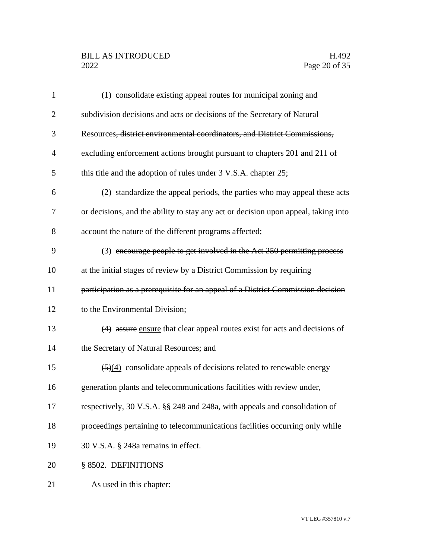# BILL AS INTRODUCED H.492<br>2022 Page 20 of 35

| $\mathbf{1}$   | (1) consolidate existing appeal routes for municipal zoning and                         |
|----------------|-----------------------------------------------------------------------------------------|
| $\overline{2}$ | subdivision decisions and acts or decisions of the Secretary of Natural                 |
| 3              | Resources, district environmental coordinators, and District Commissions,               |
| $\overline{4}$ | excluding enforcement actions brought pursuant to chapters 201 and 211 of               |
| 5              | this title and the adoption of rules under 3 V.S.A. chapter 25;                         |
| 6              | (2) standardize the appeal periods, the parties who may appeal these acts               |
| 7              | or decisions, and the ability to stay any act or decision upon appeal, taking into      |
| 8              | account the nature of the different programs affected;                                  |
| 9              | (3) encourage people to get involved in the Act 250 permitting process                  |
| 10             | at the initial stages of review by a District Commission by requiring                   |
| 11             | participation as a prerequisite for an appeal of a District Commission decision         |
| 12             | to the Environmental Division;                                                          |
| 13             | (4) assure ensure that clear appeal routes exist for acts and decisions of              |
| 14             | the Secretary of Natural Resources; and                                                 |
| 15             | $\left(\frac{5}{4}\right)$ consolidate appeals of decisions related to renewable energy |
| 16             | generation plants and telecommunications facilities with review under,                  |
| 17             | respectively, 30 V.S.A. §§ 248 and 248a, with appeals and consolidation of              |
| 18             | proceedings pertaining to telecommunications facilities occurring only while            |
| 19             | 30 V.S.A. § 248a remains in effect.                                                     |
| 20             | § 8502. DEFINITIONS                                                                     |
| 21             | As used in this chapter:                                                                |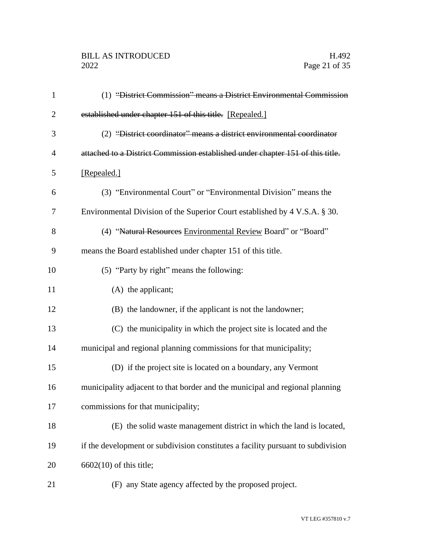| $\mathbf{1}$   | (1) "District Commission" means a District Environmental Commission              |
|----------------|----------------------------------------------------------------------------------|
| $\overline{2}$ | established under chapter 151 of this title. [Repealed.]                         |
| 3              | (2) "District coordinator" means a district environmental coordinator            |
| $\overline{4}$ | attached to a District Commission established under chapter 151 of this title.   |
| 5              | [Repealed.]                                                                      |
| 6              | (3) "Environmental Court" or "Environmental Division" means the                  |
| 7              | Environmental Division of the Superior Court established by 4 V.S.A. § 30.       |
| 8              | (4) "Natural Resources Environmental Review Board" or "Board"                    |
| 9              | means the Board established under chapter 151 of this title.                     |
| 10             | (5) "Party by right" means the following:                                        |
| 11             | $(A)$ the applicant;                                                             |
| 12             | (B) the landowner, if the applicant is not the landowner;                        |
| 13             | (C) the municipality in which the project site is located and the                |
| 14             | municipal and regional planning commissions for that municipality;               |
| 15             | (D) if the project site is located on a boundary, any Vermont                    |
| 16             | municipality adjacent to that border and the municipal and regional planning     |
| 17             | commissions for that municipality;                                               |
| 18             | (E) the solid waste management district in which the land is located,            |
| 19             | if the development or subdivision constitutes a facility pursuant to subdivision |
| 20             | $6602(10)$ of this title;                                                        |
| 21             | (F) any State agency affected by the proposed project.                           |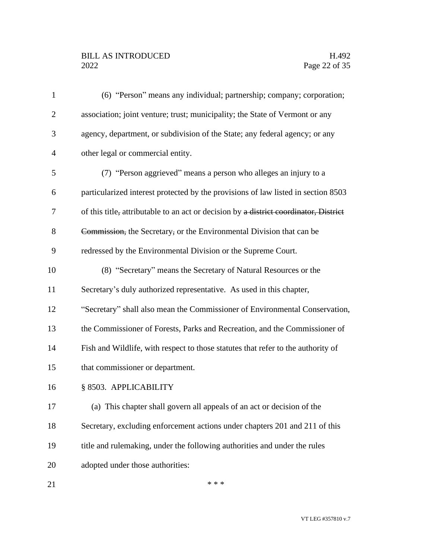# BILL AS INTRODUCED H.492<br>2022 Page 22 of 35

| $\mathbf{1}$   | (6) "Person" means any individual; partnership; company; corporation;                 |
|----------------|---------------------------------------------------------------------------------------|
| $\overline{2}$ | association; joint venture; trust; municipality; the State of Vermont or any          |
| 3              | agency, department, or subdivision of the State; any federal agency; or any           |
| 4              | other legal or commercial entity.                                                     |
| 5              | (7) "Person aggrieved" means a person who alleges an injury to a                      |
| 6              | particularized interest protected by the provisions of law listed in section 8503     |
| 7              | of this title, attributable to an act or decision by a district coordinator, District |
| 8              | Commission, the Secretary, or the Environmental Division that can be                  |
| 9              | redressed by the Environmental Division or the Supreme Court.                         |
| 10             | (8) "Secretary" means the Secretary of Natural Resources or the                       |
| 11             | Secretary's duly authorized representative. As used in this chapter,                  |
| 12             | "Secretary" shall also mean the Commissioner of Environmental Conservation,           |
| 13             | the Commissioner of Forests, Parks and Recreation, and the Commissioner of            |
| 14             | Fish and Wildlife, with respect to those statutes that refer to the authority of      |
| 15             | that commissioner or department.                                                      |
| 16             | § 8503. APPLICABILITY                                                                 |
| 17             | (a) This chapter shall govern all appeals of an act or decision of the                |
| 18             | Secretary, excluding enforcement actions under chapters 201 and 211 of this           |
| 19             | title and rulemaking, under the following authorities and under the rules             |
| 20             | adopted under those authorities:                                                      |
| 21             | * * *                                                                                 |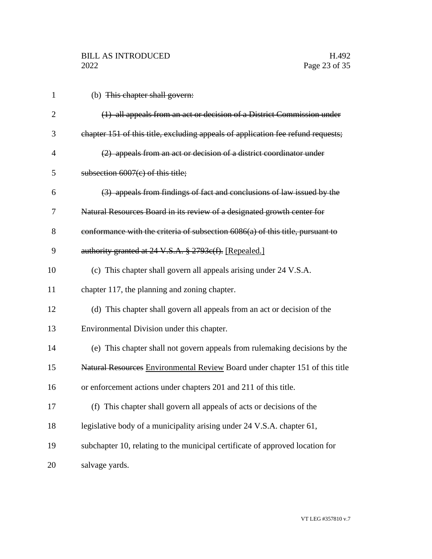| $\mathbf{1}$   | (b) This chapter shall govern:                                                   |
|----------------|----------------------------------------------------------------------------------|
| $\overline{2}$ | (1) all appeals from an act or decision of a District Commission under           |
| 3              | chapter 151 of this title, excluding appeals of application fee refund requests; |
| 4              | (2) appeals from an act or decision of a district coordinator under              |
| 5              | subsection $6007(c)$ of this title;                                              |
| 6              | (3) appeals from findings of fact and conclusions of law issued by the           |
| 7              | Natural Resources Board in its review of a designated growth center for          |
| 8              | conformance with the criteria of subsection 6086(a) of this title, pursuant to   |
| 9              | authority granted at 24 V.S.A. § 2793c(f). [Repealed.]                           |
| 10             | (c) This chapter shall govern all appeals arising under 24 V.S.A.                |
| 11             | chapter 117, the planning and zoning chapter.                                    |
| 12             | (d) This chapter shall govern all appeals from an act or decision of the         |
| 13             | Environmental Division under this chapter.                                       |
| 14             | (e) This chapter shall not govern appeals from rulemaking decisions by the       |
| 15             | Natural Resources Environmental Review Board under chapter 151 of this title     |
| 16             | or enforcement actions under chapters 201 and 211 of this title.                 |
| 17             | (f) This chapter shall govern all appeals of acts or decisions of the            |
| 18             | legislative body of a municipality arising under 24 V.S.A. chapter 61,           |
| 19             | subchapter 10, relating to the municipal certificate of approved location for    |
| 20             | salvage yards.                                                                   |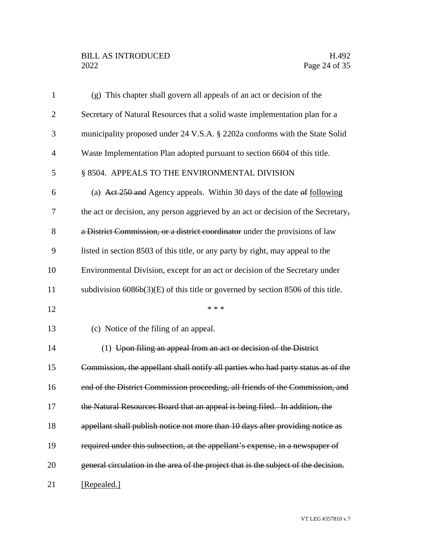| $\mathbf{1}$   | (g) This chapter shall govern all appeals of an act or decision of the              |
|----------------|-------------------------------------------------------------------------------------|
| $\overline{2}$ | Secretary of Natural Resources that a solid waste implementation plan for a         |
| 3              | municipality proposed under 24 V.S.A. § 2202a conforms with the State Solid         |
| $\overline{4}$ | Waste Implementation Plan adopted pursuant to section 6604 of this title.           |
| 5              | § 8504. APPEALS TO THE ENVIRONMENTAL DIVISION                                       |
| 6              | (a) Act 250 and Agency appeals. Within 30 days of the date of following             |
| 7              | the act or decision, any person aggrieved by an act or decision of the Secretary,   |
| 8              | a District Commission, or a district coordinator under the provisions of law        |
| 9              | listed in section 8503 of this title, or any party by right, may appeal to the      |
| 10             | Environmental Division, except for an act or decision of the Secretary under        |
| 11             | subdivision $6086b(3)(E)$ of this title or governed by section 8506 of this title.  |
|                |                                                                                     |
| 12             | * * *                                                                               |
| 13             | (c) Notice of the filing of an appeal.                                              |
| 14             | (1) Upon filing an appeal from an act or decision of the District                   |
| 15             | Commission, the appellant shall notify all parties who had party status as of the   |
| 16             | end of the District Commission proceeding, all friends of the Commission, and       |
| 17             | the Natural Resources Board that an appeal is being filed. In addition, the         |
| 18             | appellant shall publish notice not more than 10 days after providing notice as      |
| 19             | required under this subsection, at the appellant's expense, in a newspaper of       |
| 20             | general circulation in the area of the project that is the subject of the decision. |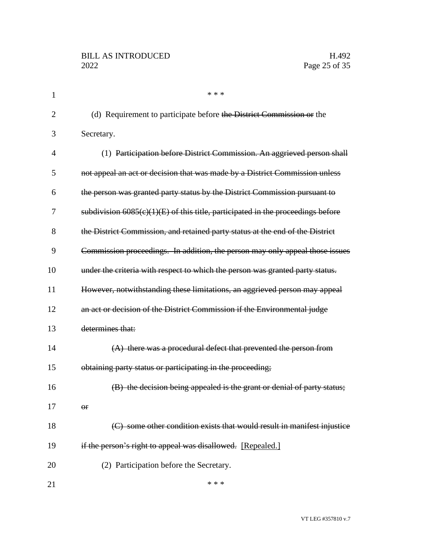| 1  | * * *                                                                             |
|----|-----------------------------------------------------------------------------------|
| 2  | (d) Requirement to participate before the District Commission or the              |
| 3  | Secretary.                                                                        |
| 4  | (1) Participation before District Commission. An aggrieved person shall           |
| 5  | not appeal an act or decision that was made by a District Commission unless       |
| 6  | the person was granted party status by the District Commission pursuant to        |
| 7  | subdivision $6085(c)(1)(E)$ of this title, participated in the proceedings before |
| 8  | the District Commission, and retained party status at the end of the District     |
| 9  | Commission proceedings. In addition, the person may only appeal those issues      |
| 10 | under the criteria with respect to which the person was granted party status.     |
| 11 | However, notwithstanding these limitations, an aggrieved person may appeal        |
| 12 | an act or decision of the District Commission if the Environmental judge          |
| 13 | determines that:                                                                  |
| 14 | (A) there was a procedural defect that prevented the person from                  |
| 15 | obtaining party status or participating in the proceeding;                        |
| 16 | (B) the decision being appealed is the grant or denial of party status;           |
| 17 | $\Theta$ f                                                                        |
| 18 | (C) some other condition exists that would result in manifest injustice           |
| 19 | if the person's right to appeal was disallowed. [Repealed.]                       |
| 20 | (2) Participation before the Secretary.                                           |
| 21 | * * *                                                                             |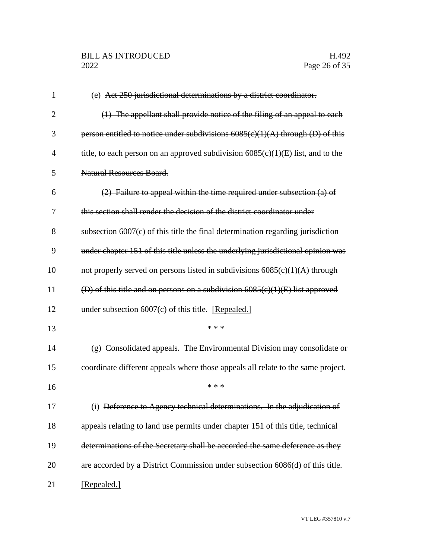| 1              | (e) Act 250 jurisdictional determinations by a district coordinator.              |
|----------------|-----------------------------------------------------------------------------------|
| $\overline{2}$ | (1) The appellant shall provide notice of the filing of an appeal to each         |
| 3              | person entitled to notice under subdivisions $6085(c)(1)(A)$ through (D) of this  |
| $\overline{4}$ | title, to each person on an approved subdivision $6085(c)(1)(E)$ list, and to the |
| 5              | Natural Resources Board.                                                          |
| 6              | $(2)$ Failure to appeal within the time required under subsection $(a)$ of        |
| 7              | this section shall render the decision of the district coordinator under          |
| 8              | subsection $6007(c)$ of this title the final determination regarding jurisdiction |
| 9              | under chapter 151 of this title unless the underlying jurisdictional opinion was  |
| 10             | not properly served on persons listed in subdivisions 6085(c)(1)(A) through       |
| 11             | (D) of this title and on persons on a subdivision $6085(c)(1)(E)$ list approved   |
| 12             | under subsection $6007(c)$ of this title. [Repealed.]                             |
| 13             | * * *                                                                             |
| 14             | (g) Consolidated appeals. The Environmental Division may consolidate or           |
| 15             | coordinate different appeals where those appeals all relate to the same project.  |
| 16             | * * *                                                                             |
| 17             | (i) Deference to Agency technical determinations. In the adjudication of          |
| 18             | appeals relating to land use permits under chapter 151 of this title, technical   |
| 19             | determinations of the Secretary shall be accorded the same deference as they      |
| 20             | are accorded by a District Commission under subsection 6086(d) of this title.     |
| 21             | [Repealed.]                                                                       |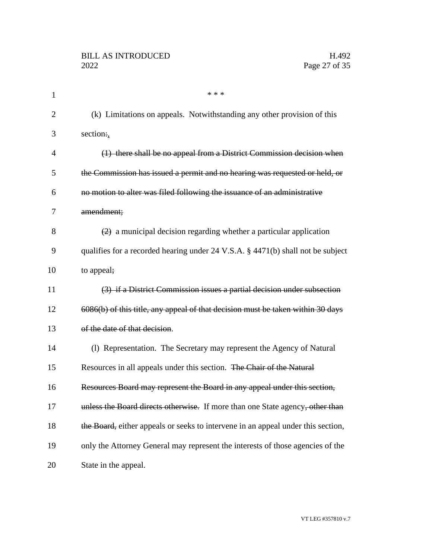| 1              | * * *                                                                                        |
|----------------|----------------------------------------------------------------------------------------------|
| $\overline{2}$ | (k) Limitations on appeals. Notwithstanding any other provision of this                      |
| 3              | section:,                                                                                    |
| $\overline{4}$ | (1) there shall be no appeal from a District Commission decision when                        |
| 5              | the Commission has issued a permit and no hearing was requested or held, or                  |
| 6              | no motion to alter was filed following the issuance of an administrative                     |
| 7              | amendment;                                                                                   |
| 8              | $\left( \frac{2}{2} \right)$ a municipal decision regarding whether a particular application |
| 9              | qualifies for a recorded hearing under 24 V.S.A. § 4471(b) shall not be subject              |
| 10             | to appeal;                                                                                   |
| 11             | (3) if a District Commission issues a partial decision under subsection                      |
| 12             | 6086(b) of this title, any appeal of that decision must be taken within 30 days              |
| 13             | of the date of that decision.                                                                |
| 14             | (1) Representation. The Secretary may represent the Agency of Natural                        |
| 15             | Resources in all appeals under this section. The Chair of the Natural                        |
| 16             | Resources Board may represent the Board in any appeal under this section,                    |
| 17             | unless the Board directs otherwise. If more than one State agency, other than                |
| 18             | the Board, either appeals or seeks to intervene in an appeal under this section,             |
| 19             | only the Attorney General may represent the interests of those agencies of the               |
| 20             | State in the appeal.                                                                         |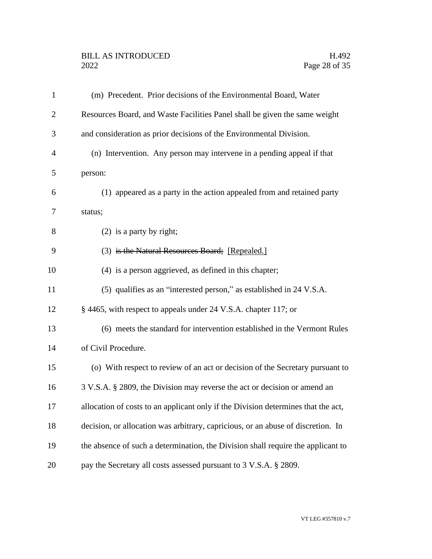# BILL AS INTRODUCED H.492<br>2022 Page 28 of 35

| $\mathbf{1}$   | (m) Precedent. Prior decisions of the Environmental Board, Water                  |
|----------------|-----------------------------------------------------------------------------------|
| $\overline{2}$ | Resources Board, and Waste Facilities Panel shall be given the same weight        |
| 3              | and consideration as prior decisions of the Environmental Division.               |
| $\overline{4}$ | (n) Intervention. Any person may intervene in a pending appeal if that            |
| 5              | person:                                                                           |
| 6              | (1) appeared as a party in the action appealed from and retained party            |
| 7              | status;                                                                           |
| 8              | $(2)$ is a party by right;                                                        |
| 9              | (3) is the Natural Resources Board; [Repealed.]                                   |
| 10             | (4) is a person aggrieved, as defined in this chapter;                            |
| 11             | (5) qualifies as an "interested person," as established in 24 V.S.A.              |
| 12             | § 4465, with respect to appeals under 24 V.S.A. chapter 117; or                   |
| 13             | (6) meets the standard for intervention established in the Vermont Rules          |
| 14             | of Civil Procedure.                                                               |
| 15             | (o) With respect to review of an act or decision of the Secretary pursuant to     |
| 16             | 3 V.S.A. § 2809, the Division may reverse the act or decision or amend an         |
| 17             | allocation of costs to an applicant only if the Division determines that the act, |
| 18             | decision, or allocation was arbitrary, capricious, or an abuse of discretion. In  |
| 19             | the absence of such a determination, the Division shall require the applicant to  |
| 20             | pay the Secretary all costs assessed pursuant to 3 V.S.A. § 2809.                 |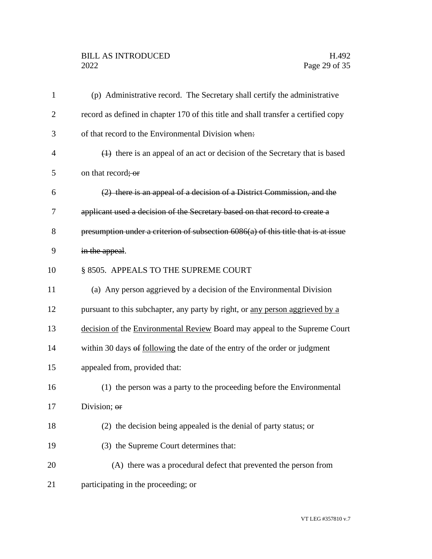# BILL AS INTRODUCED H.492<br>2022 Page 29 of 35

| $\mathbf{1}$   | (p) Administrative record. The Secretary shall certify the administrative          |
|----------------|------------------------------------------------------------------------------------|
| $\overline{2}$ | record as defined in chapter 170 of this title and shall transfer a certified copy |
| 3              | of that record to the Environmental Division when.                                 |
| $\overline{4}$ | $(1)$ there is an appeal of an act or decision of the Secretary that is based      |
| 5              | on that record; or                                                                 |
| 6              | (2) there is an appeal of a decision of a District Commission, and the             |
| 7              | applicant used a decision of the Secretary based on that record to create a        |
| 8              | presumption under a criterion of subsection 6086(a) of this title that is at issue |
| 9              | in the appeal.                                                                     |
| 10             | § 8505. APPEALS TO THE SUPREME COURT                                               |
| 11             | (a) Any person aggrieved by a decision of the Environmental Division               |
| 12             | pursuant to this subchapter, any party by right, or any person aggrieved by a      |
| 13             | decision of the Environmental Review Board may appeal to the Supreme Court         |
| 14             | within 30 days of following the date of the entry of the order or judgment         |
| 15             | appealed from, provided that:                                                      |
| 16             | (1) the person was a party to the proceeding before the Environmental              |
| 17             | Division; or                                                                       |
| 18             | (2) the decision being appealed is the denial of party status; or                  |
| 19             | (3) the Supreme Court determines that:                                             |
| 20             | (A) there was a procedural defect that prevented the person from                   |
| 21             | participating in the proceeding; or                                                |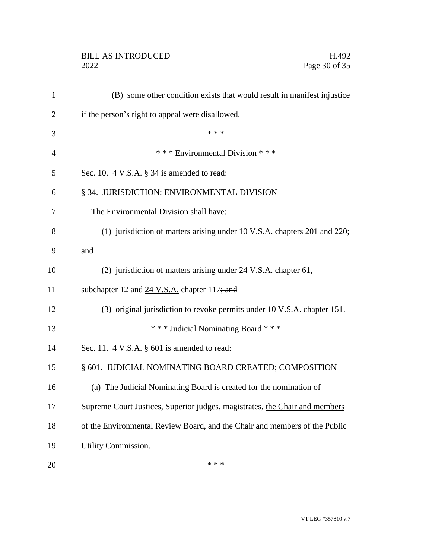# BILL AS INTRODUCED H.492<br>2022 Page 30 of 35

| $\mathbf{1}$   | (B) some other condition exists that would result in manifest injustice     |
|----------------|-----------------------------------------------------------------------------|
| $\overline{c}$ | if the person's right to appeal were disallowed.                            |
| 3              | * * *                                                                       |
| $\overline{4}$ | *** Environmental Division ***                                              |
| 5              | Sec. 10. $4$ V.S.A. $\S$ 34 is amended to read:                             |
| 6              | § 34. JURISDICTION; ENVIRONMENTAL DIVISION                                  |
| 7              | The Environmental Division shall have:                                      |
| 8              | (1) jurisdiction of matters arising under 10 V.S.A. chapters 201 and 220;   |
| 9              | and                                                                         |
| 10             | (2) jurisdiction of matters arising under 24 V.S.A. chapter 61,             |
| 11             | subchapter 12 and 24 V.S.A. chapter 117; and                                |
| 12             | (3) original jurisdiction to revoke permits under 10 V.S.A. chapter 151.    |
| 13             | *** Judicial Nominating Board ***                                           |
| 14             | Sec. 11. $4$ V.S.A. $\S$ 601 is amended to read:                            |
| 15             | § 601. JUDICIAL NOMINATING BOARD CREATED; COMPOSITION                       |
| 16             | (a) The Judicial Nominating Board is created for the nomination of          |
| 17             | Supreme Court Justices, Superior judges, magistrates, the Chair and members |
| 18             | of the Environmental Review Board, and the Chair and members of the Public  |
| 19             | Utility Commission.                                                         |
| 20             | * * *                                                                       |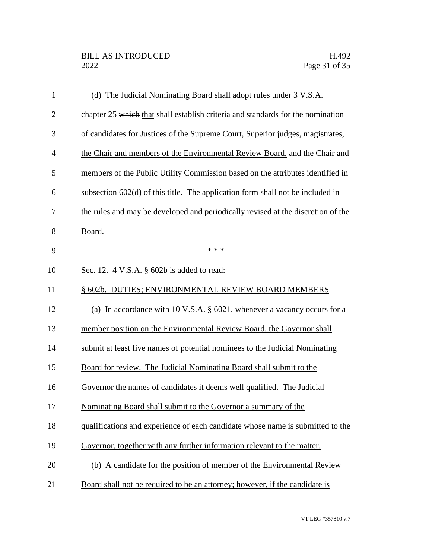| $\mathbf{1}$   | (d) The Judicial Nominating Board shall adopt rules under 3 V.S.A.               |
|----------------|----------------------------------------------------------------------------------|
| $\overline{2}$ | chapter 25 which that shall establish criteria and standards for the nomination  |
| 3              | of candidates for Justices of the Supreme Court, Superior judges, magistrates,   |
| $\overline{4}$ | the Chair and members of the Environmental Review Board, and the Chair and       |
| 5              | members of the Public Utility Commission based on the attributes identified in   |
| 6              | subsection $602(d)$ of this title. The application form shall not be included in |
| 7              | the rules and may be developed and periodically revised at the discretion of the |
| 8              | Board.                                                                           |
| 9              | * * *                                                                            |
| 10             | Sec. 12. 4 V.S.A. § 602b is added to read:                                       |
| 11             | § 602b. DUTIES; ENVIRONMENTAL REVIEW BOARD MEMBERS                               |
| 12             | (a) In accordance with 10 V.S.A. § 6021, whenever a vacancy occurs for a         |
| 13             | member position on the Environmental Review Board, the Governor shall            |
| 14             | submit at least five names of potential nominees to the Judicial Nominating      |
| 15             | Board for review. The Judicial Nominating Board shall submit to the              |
| 16             | Governor the names of candidates it deems well qualified. The Judicial           |
| 17             | Nominating Board shall submit to the Governor a summary of the                   |
| 18             | qualifications and experience of each candidate whose name is submitted to the   |
| 19             | Governor, together with any further information relevant to the matter.          |
| 20             | (b) A candidate for the position of member of the Environmental Review           |
| 21             | Board shall not be required to be an attorney; however, if the candidate is      |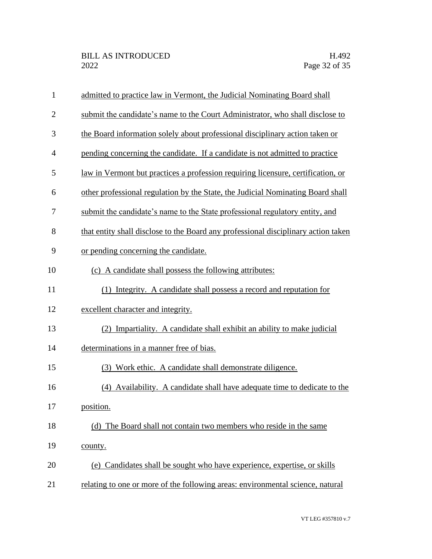| $\mathbf{1}$   | admitted to practice law in Vermont, the Judicial Nominating Board shall           |
|----------------|------------------------------------------------------------------------------------|
| $\overline{2}$ | submit the candidate's name to the Court Administrator, who shall disclose to      |
| 3              | the Board information solely about professional disciplinary action taken or       |
| $\overline{4}$ | pending concerning the candidate. If a candidate is not admitted to practice       |
| 5              | law in Vermont but practices a profession requiring licensure, certification, or   |
| 6              | other professional regulation by the State, the Judicial Nominating Board shall    |
| 7              | submit the candidate's name to the State professional regulatory entity, and       |
| 8              | that entity shall disclose to the Board any professional disciplinary action taken |
| 9              | or pending concerning the candidate.                                               |
| 10             | (c) A candidate shall possess the following attributes:                            |
| 11             | (1) Integrity. A candidate shall possess a record and reputation for               |
| 12             | excellent character and integrity.                                                 |
| 13             | Impartiality. A candidate shall exhibit an ability to make judicial<br>(2)         |
| 14             | determinations in a manner free of bias.                                           |
| 15             | (3) Work ethic. A candidate shall demonstrate diligence.                           |
| 16             | (4) Availability. A candidate shall have adequate time to dedicate to the          |
| 17             | position.                                                                          |
| 18             | The Board shall not contain two members who reside in the same<br>(d)              |
| 19             | county.                                                                            |
| 20             | (e) Candidates shall be sought who have experience, expertise, or skills           |
| 21             | relating to one or more of the following areas: environmental science, natural     |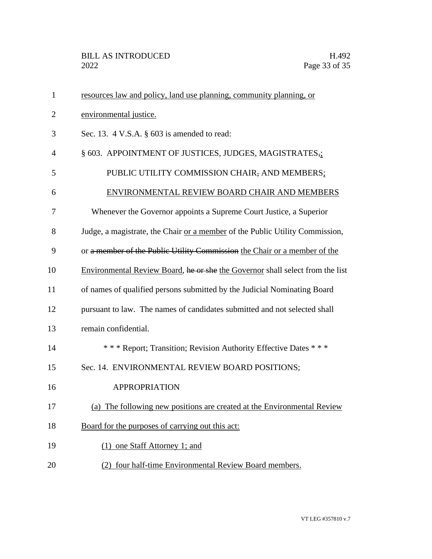| $\mathbf{1}$   | resources law and policy, land use planning, community planning, or           |
|----------------|-------------------------------------------------------------------------------|
| 2              | environmental justice.                                                        |
| 3              | Sec. 13. 4 V.S.A. § 603 is amended to read:                                   |
| $\overline{4}$ | § 603. APPOINTMENT OF JUSTICES, JUDGES, MAGISTRATES,;                         |
| 5              | PUBLIC UTILITY COMMISSION CHAIR, AND MEMBERS;                                 |
| 6              | ENVIRONMENTAL REVIEW BOARD CHAIR AND MEMBERS                                  |
| 7              | Whenever the Governor appoints a Supreme Court Justice, a Superior            |
| 8              | Judge, a magistrate, the Chair or a member of the Public Utility Commission,  |
| 9              | or a member of the Public Utility Commission the Chair or a member of the     |
| 10             | Environmental Review Board, he or she the Governor shall select from the list |
| 11             | of names of qualified persons submitted by the Judicial Nominating Board      |
| 12             | pursuant to law. The names of candidates submitted and not selected shall     |
| 13             | remain confidential.                                                          |
| 14             | *** Report; Transition; Revision Authority Effective Dates ***                |
| 15             | Sec. 14. ENVIRONMENTAL REVIEW BOARD POSITIONS;                                |
| 16             | <b>APPROPRIATION</b>                                                          |
| 17             | (a) The following new positions are created at the Environmental Review       |
| 18             | Board for the purposes of carrying out this act:                              |
| 19             | (1) one Staff Attorney 1; and                                                 |
| 20             | (2) four half-time Environmental Review Board members.                        |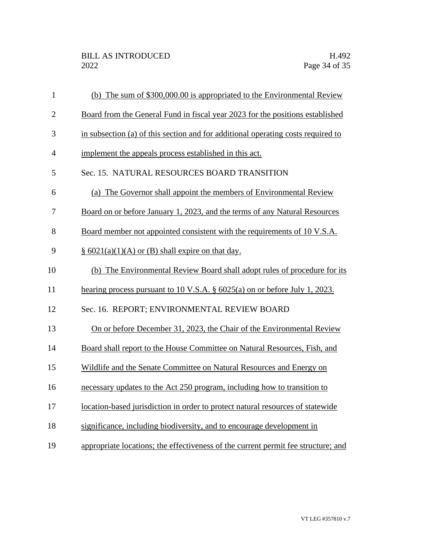| $\mathbf{1}$   | (b) The sum of \$300,000.00 is appropriated to the Environmental Review           |
|----------------|-----------------------------------------------------------------------------------|
| $\overline{2}$ | Board from the General Fund in fiscal year 2023 for the positions established     |
| 3              | in subsection (a) of this section and for additional operating costs required to  |
| $\overline{4}$ | implement the appeals process established in this act.                            |
| 5              | Sec. 15. NATURAL RESOURCES BOARD TRANSITION                                       |
| 6              | (a) The Governor shall appoint the members of Environmental Review                |
| 7              | Board on or before January 1, 2023, and the terms of any Natural Resources        |
| 8              | Board member not appointed consistent with the requirements of 10 V.S.A.          |
| 9              | $\S$ 6021(a)(1)(A) or (B) shall expire on that day.                               |
| 10             | (b) The Environmental Review Board shall adopt rules of procedure for its         |
| 11             | hearing process pursuant to 10 V.S.A. $\S$ 6025(a) on or before July 1, 2023.     |
| 12             | Sec. 16. REPORT; ENVIRONMENTAL REVIEW BOARD                                       |
| 13             | On or before December 31, 2023, the Chair of the Environmental Review             |
| 14             | Board shall report to the House Committee on Natural Resources, Fish, and         |
| 15             | Wildlife and the Senate Committee on Natural Resources and Energy on              |
| 16             | necessary updates to the Act 250 program, including how to transition to          |
| 17             | location-based jurisdiction in order to protect natural resources of statewide    |
| 18             | significance, including biodiversity, and to encourage development in             |
| 19             | appropriate locations; the effectiveness of the current permit fee structure; and |